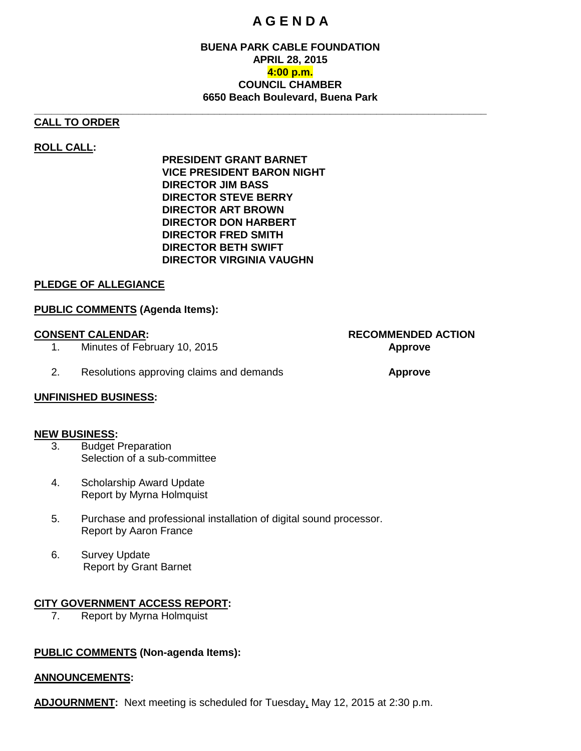## **A G E N D A**

### **BUENA PARK CABLE FOUNDATION APRIL 28, 2015 4:00 p.m. COUNCIL CHAMBER 6650 Beach Boulevard, Buena Park**

#### **CALL TO ORDER**

### **ROLL CALL:**

**PRESIDENT GRANT BARNET VICE PRESIDENT BARON NIGHT DIRECTOR JIM BASS DIRECTOR STEVE BERRY DIRECTOR ART BROWN DIRECTOR DON HARBERT DIRECTOR FRED SMITH DIRECTOR BETH SWIFT DIRECTOR VIRGINIA VAUGHN**

**\_\_\_\_\_\_\_\_\_\_\_\_\_\_\_\_\_\_\_\_\_\_\_\_\_\_\_\_\_\_\_\_\_\_\_\_\_\_\_\_\_\_\_\_\_\_\_\_\_\_\_\_\_\_\_\_\_\_\_\_\_\_\_\_\_\_\_\_\_\_\_\_\_\_\_\_\_\_**

#### **PLEDGE OF ALLEGIANCE**

#### **PUBLIC COMMENTS (Agenda Items):**

- 1. Minutes of February 10, 2015 **Approve**
- 2. Resolutions approving claims and demands **Approve**

#### **UNFINISHED BUSINESS:**

#### **NEW BUSINESS:**

- 3. Budget Preparation Selection of a sub-committee
- 4. Scholarship Award Update Report by Myrna Holmquist
- 5. Purchase and professional installation of digital sound processor. Report by Aaron France
- 6. Survey Update Report by Grant Barnet

#### **CITY GOVERNMENT ACCESS REPORT:**

7. Report by Myrna Holmquist

#### **PUBLIC COMMENTS (Non-agenda Items):**

#### **ANNOUNCEMENTS:**

**ADJOURNMENT:** Next meeting is scheduled for Tuesday, May 12, 2015 at 2:30 p.m.

# **CONSENT CALENDAR: RECOMMENDED ACTION**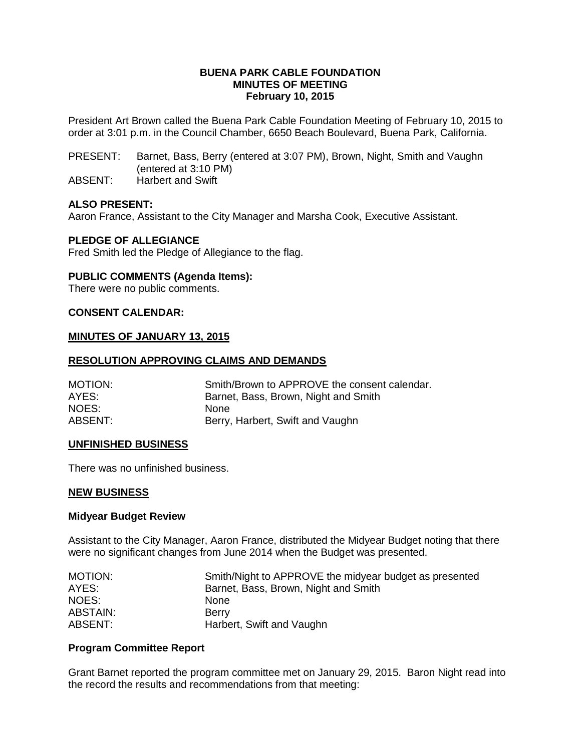#### **BUENA PARK CABLE FOUNDATION MINUTES OF MEETING February 10, 2015**

President Art Brown called the Buena Park Cable Foundation Meeting of February 10, 2015 to order at 3:01 p.m. in the Council Chamber, 6650 Beach Boulevard, Buena Park, California.

- PRESENT: Barnet, Bass, Berry (entered at 3:07 PM), Brown, Night, Smith and Vaughn (entered at 3:10 PM)
- ABSENT: Harbert and Swift

#### **ALSO PRESENT:**

Aaron France, Assistant to the City Manager and Marsha Cook, Executive Assistant.

#### **PLEDGE OF ALLEGIANCE**

Fred Smith led the Pledge of Allegiance to the flag.

#### **PUBLIC COMMENTS (Agenda Items):**

There were no public comments.

#### **CONSENT CALENDAR:**

#### **MINUTES OF JANUARY 13, 2015**

#### **RESOLUTION APPROVING CLAIMS AND DEMANDS**

| MOTION: | Smith/Brown to APPROVE the consent calendar. |
|---------|----------------------------------------------|
| AYES:   | Barnet, Bass, Brown, Night and Smith         |
| NOES:   | <b>None</b>                                  |
| ABSENT: | Berry, Harbert, Swift and Vaughn             |

#### **UNFINISHED BUSINESS**

There was no unfinished business.

#### **NEW BUSINESS**

#### **Midyear Budget Review**

Assistant to the City Manager, Aaron France, distributed the Midyear Budget noting that there were no significant changes from June 2014 when the Budget was presented.

| MOTION:         | Smith/Night to APPROVE the midyear budget as presented |
|-----------------|--------------------------------------------------------|
| AYES:           | Barnet, Bass, Brown, Night and Smith                   |
| NOES:           | <b>None</b>                                            |
| <b>ABSTAIN:</b> | Berry                                                  |
| ABSENT:         | Harbert, Swift and Vaughn                              |

#### **Program Committee Report**

Grant Barnet reported the program committee met on January 29, 2015. Baron Night read into the record the results and recommendations from that meeting: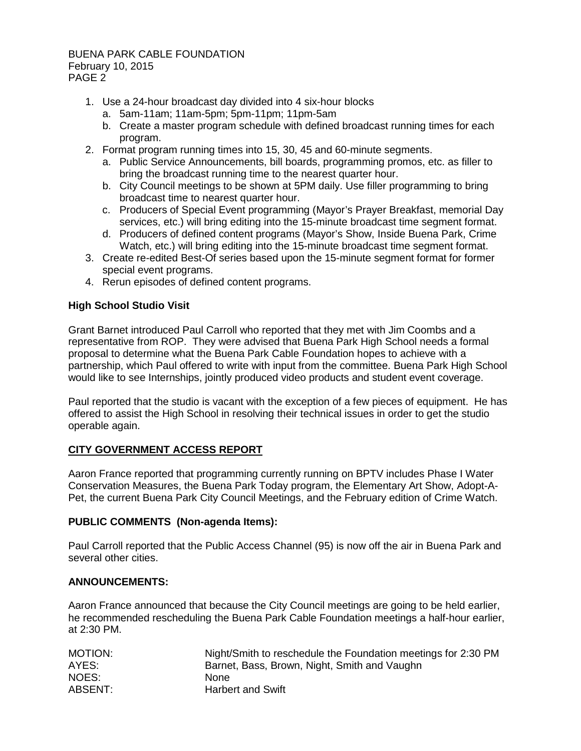#### BUENA PARK CABLE FOUNDATION February 10, 2015 PAGE 2

- 1. Use a 24-hour broadcast day divided into 4 six-hour blocks
	- a. 5am-11am; 11am-5pm; 5pm-11pm; 11pm-5am
	- b. Create a master program schedule with defined broadcast running times for each program.
- 2. Format program running times into 15, 30, 45 and 60-minute segments.
	- a. Public Service Announcements, bill boards, programming promos, etc. as filler to bring the broadcast running time to the nearest quarter hour.
	- b. City Council meetings to be shown at 5PM daily. Use filler programming to bring broadcast time to nearest quarter hour.
	- c. Producers of Special Event programming (Mayor's Prayer Breakfast, memorial Day services, etc.) will bring editing into the 15-minute broadcast time segment format.
	- d. Producers of defined content programs (Mayor's Show, Inside Buena Park, Crime Watch, etc.) will bring editing into the 15-minute broadcast time segment format.
- 3. Create re-edited Best-Of series based upon the 15-minute segment format for former special event programs.
- 4. Rerun episodes of defined content programs.

#### **High School Studio Visit**

Grant Barnet introduced Paul Carroll who reported that they met with Jim Coombs and a representative from ROP. They were advised that Buena Park High School needs a formal proposal to determine what the Buena Park Cable Foundation hopes to achieve with a partnership, which Paul offered to write with input from the committee. Buena Park High School would like to see Internships, jointly produced video products and student event coverage.

Paul reported that the studio is vacant with the exception of a few pieces of equipment. He has offered to assist the High School in resolving their technical issues in order to get the studio operable again.

#### **CITY GOVERNMENT ACCESS REPORT**

Aaron France reported that programming currently running on BPTV includes Phase I Water Conservation Measures, the Buena Park Today program, the Elementary Art Show, Adopt-A-Pet, the current Buena Park City Council Meetings, and the February edition of Crime Watch.

#### **PUBLIC COMMENTS (Non-agenda Items):**

Paul Carroll reported that the Public Access Channel (95) is now off the air in Buena Park and several other cities.

#### **ANNOUNCEMENTS:**

Aaron France announced that because the City Council meetings are going to be held earlier, he recommended rescheduling the Buena Park Cable Foundation meetings a half-hour earlier, at 2:30 PM.

| MOTION: | Night/Smith to reschedule the Foundation meetings for 2:30 PM |
|---------|---------------------------------------------------------------|
| AYES:   | Barnet, Bass, Brown, Night, Smith and Vaughn                  |
| NOES:   | <b>None</b>                                                   |
| ABSENT: | <b>Harbert and Swift</b>                                      |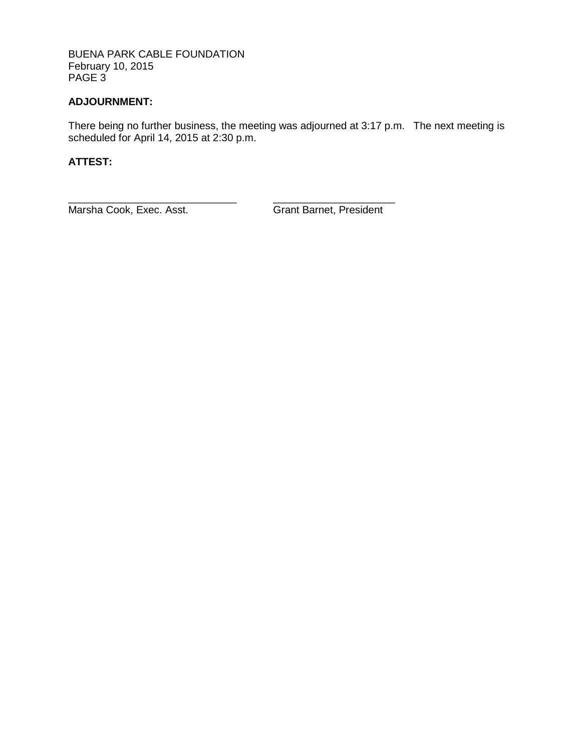BUENA PARK CABLE FOUNDATION February 10, 2015 PAGE 3

### **ADJOURNMENT:**

There being no further business, the meeting was adjourned at 3:17 p.m. The next meeting is scheduled for April 14, 2015 at 2:30 p.m.

### **ATTEST:**

Marsha Cook, Exec. Asst. **Grant Barnet, President** 

\_\_\_\_\_\_\_\_\_\_\_\_\_\_\_\_\_\_\_\_\_\_\_\_\_\_\_\_\_ \_\_\_\_\_\_\_\_\_\_\_\_\_\_\_\_\_\_\_\_\_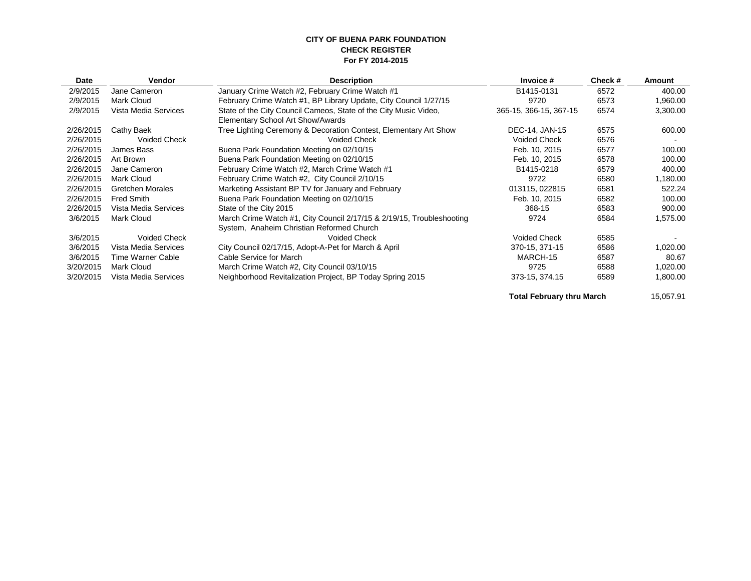#### **CITY OF BUENA PARK FOUNDATION CHECK REGISTER For FY 2014-2015**

| Date      | <b>Vendor</b>           | <b>Description</b>                                                    | Invoice #              | Check # | Amount   |
|-----------|-------------------------|-----------------------------------------------------------------------|------------------------|---------|----------|
| 2/9/2015  | Jane Cameron            | January Crime Watch #2, February Crime Watch #1                       | B1415-0131             | 6572    | 400.00   |
| 2/9/2015  | Mark Cloud              | February Crime Watch #1, BP Library Update, City Council 1/27/15      | 9720                   | 6573    | 1,960.00 |
| 2/9/2015  | Vista Media Services    | State of the City Council Cameos, State of the City Music Video,      | 365-15, 366-15, 367-15 | 6574    | 3,300.00 |
|           |                         | Elementary School Art Show/Awards                                     |                        |         |          |
| 2/26/2015 | Cathy Baek              | Tree Lighting Ceremony & Decoration Contest, Elementary Art Show      | DEC-14, JAN-15         | 6575    | 600.00   |
| 2/26/2015 | <b>Voided Check</b>     | <b>Voided Check</b>                                                   | <b>Voided Check</b>    | 6576    |          |
| 2/26/2015 | James Bass              | Buena Park Foundation Meeting on 02/10/15                             | Feb. 10, 2015          | 6577    | 100.00   |
| 2/26/2015 | Art Brown               | Buena Park Foundation Meeting on 02/10/15                             | Feb. 10, 2015          | 6578    | 100.00   |
| 2/26/2015 | Jane Cameron            | February Crime Watch #2, March Crime Watch #1                         | B1415-0218             | 6579    | 400.00   |
| 2/26/2015 | Mark Cloud              | February Crime Watch #2, City Council 2/10/15                         | 9722                   | 6580    | 1,180.00 |
| 2/26/2015 | <b>Gretchen Morales</b> | Marketing Assistant BP TV for January and February                    | 013115, 022815         | 6581    | 522.24   |
| 2/26/2015 | <b>Fred Smith</b>       | Buena Park Foundation Meeting on 02/10/15                             | Feb. 10, 2015          | 6582    | 100.00   |
| 2/26/2015 | Vista Media Services    | State of the City 2015                                                | 368-15                 | 6583    | 900.00   |
| 3/6/2015  | Mark Cloud              | March Crime Watch #1, City Council 2/17/15 & 2/19/15, Troubleshooting | 9724                   | 6584    | 1,575.00 |
|           |                         | System, Anaheim Christian Reformed Church                             |                        |         |          |
| 3/6/2015  | <b>Voided Check</b>     | Voided Check                                                          | <b>Voided Check</b>    | 6585    |          |
| 3/6/2015  | Vista Media Services    | City Council 02/17/15, Adopt-A-Pet for March & April                  | 370-15, 371-15         | 6586    | 1,020.00 |
| 3/6/2015  | Time Warner Cable       | Cable Service for March                                               | MARCH-15               | 6587    | 80.67    |
| 3/20/2015 | Mark Cloud              | March Crime Watch #2, City Council 03/10/15                           | 9725                   | 6588    | 1,020.00 |
| 3/20/2015 | Vista Media Services    | Neighborhood Revitalization Project, BP Today Spring 2015             | 373-15, 374.15         | 6589    | 1,800.00 |
|           |                         |                                                                       |                        |         |          |

**Total February thru March 15,057.91**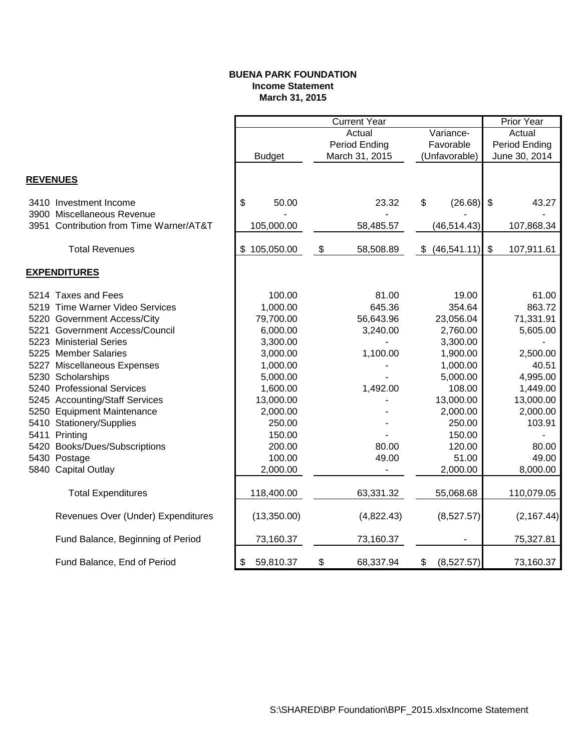#### **BUENA PARK FOUNDATION Income Statement March 31, 2015**

|                 |                                                      |               |                     |               | <b>Current Year</b> |               |              |                           | <b>Prior Year</b> |
|-----------------|------------------------------------------------------|---------------|---------------------|---------------|---------------------|---------------|--------------|---------------------------|-------------------|
|                 |                                                      |               | Variance-<br>Actual |               |                     | Actual        |              |                           |                   |
|                 |                                                      | <b>Budget</b> |                     | Period Ending |                     | Favorable     |              | Period Ending             |                   |
|                 |                                                      |               |                     |               | March 31, 2015      | (Unfavorable) |              | June 30, 2014             |                   |
| <b>REVENUES</b> |                                                      |               |                     |               |                     |               |              |                           |                   |
|                 | 3410 Investment Income<br>3900 Miscellaneous Revenue | \$            | 50.00               |               | 23.32               | \$            | (26.68)      | \$                        | 43.27             |
|                 | 3951 Contribution from Time Warner/AT&T              |               | 105,000.00          |               | 58,485.57           |               | (46, 514.43) |                           | 107,868.34        |
|                 | <b>Total Revenues</b>                                |               | \$105,050.00        | \$            | 58,508.89           | \$            | (46, 541.11) | $\boldsymbol{\mathsf{S}}$ | 107,911.61        |
|                 | <b>EXPENDITURES</b>                                  |               |                     |               |                     |               |              |                           |                   |
|                 | 5214 Taxes and Fees                                  |               | 100.00              |               | 81.00               |               | 19.00        |                           | 61.00             |
|                 | 5219 Time Warner Video Services                      |               | 1,000.00            |               | 645.36              |               | 354.64       |                           | 863.72            |
|                 | 5220 Government Access/City                          |               | 79,700.00           |               | 56,643.96           |               | 23,056.04    |                           | 71,331.91         |
|                 | 5221 Government Access/Council                       |               | 6,000.00            |               | 3,240.00            |               | 2,760.00     |                           | 5,605.00          |
|                 | 5223 Ministerial Series                              |               | 3,300.00            |               |                     |               | 3,300.00     |                           |                   |
|                 | 5225 Member Salaries                                 |               | 3,000.00            |               | 1,100.00            |               | 1,900.00     |                           | 2,500.00          |
|                 | 5227 Miscellaneous Expenses                          |               | 1,000.00            |               |                     |               | 1,000.00     |                           | 40.51             |
|                 | 5230 Scholarships                                    |               | 5,000.00            |               |                     |               | 5,000.00     |                           | 4,995.00          |
|                 | 5240 Professional Services                           |               | 1,600.00            |               | 1,492.00            |               | 108.00       |                           | 1,449.00          |
|                 | 5245 Accounting/Staff Services                       |               | 13,000.00           |               |                     |               | 13,000.00    |                           | 13,000.00         |
|                 | 5250 Equipment Maintenance                           |               | 2,000.00            |               |                     |               | 2,000.00     |                           | 2,000.00          |
|                 | 5410 Stationery/Supplies                             |               | 250.00              |               |                     |               | 250.00       |                           | 103.91            |
|                 | 5411 Printing                                        |               | 150.00              |               |                     |               | 150.00       |                           |                   |
|                 | 5420 Books/Dues/Subscriptions                        |               | 200.00              |               | 80.00               |               | 120.00       |                           | 80.00             |
|                 | 5430 Postage                                         |               | 100.00              |               | 49.00               |               | 51.00        |                           | 49.00             |
|                 | 5840 Capital Outlay                                  |               | 2,000.00            |               |                     |               | 2,000.00     |                           | 8,000.00          |
|                 | <b>Total Expenditures</b>                            |               | 118,400.00          |               | 63,331.32           |               | 55,068.68    |                           | 110,079.05        |
|                 | Revenues Over (Under) Expenditures                   |               | (13,350.00)         |               | (4,822.43)          |               | (8,527.57)   |                           | (2, 167.44)       |
|                 | Fund Balance, Beginning of Period                    |               | 73,160.37           |               | 73,160.37           |               |              |                           | 75,327.81         |
|                 | Fund Balance, End of Period                          | \$            | 59,810.37           | \$            | 68,337.94           | \$            | (8,527.57)   |                           | 73,160.37         |